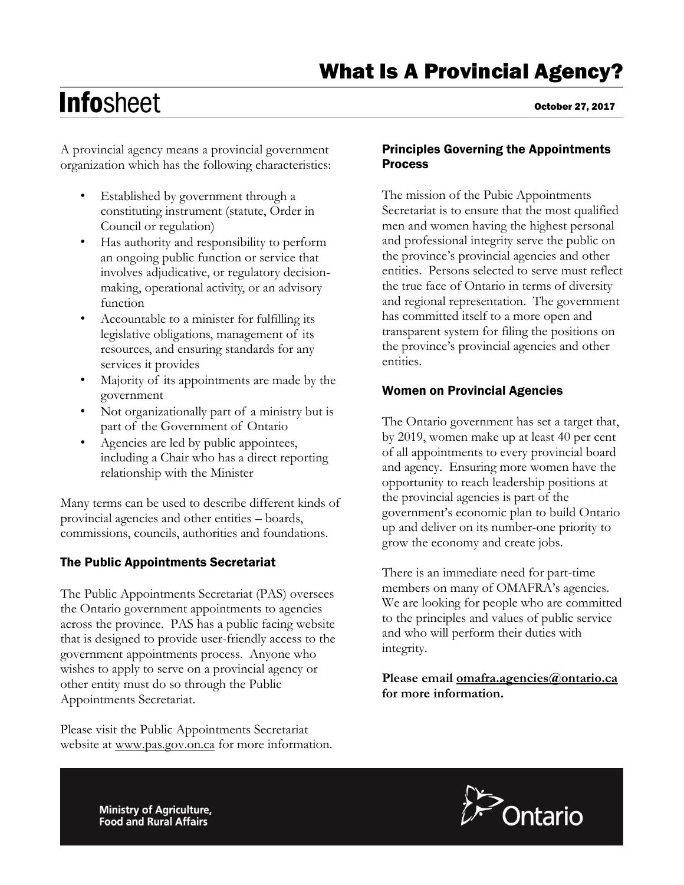# **Infosheet**

A provincial agency means a provincial government organization which has the following characteristics:

- Established by government through a constituting instrument (statute, Order in Council or regulation)
- Has authority and responsibility to perform an ongoing public function or service that involves adjudicative, or regulatory decisionmaking, operational activity, or an advisory function
- Accountable to a minister for fulfilling its legislative obligations, management of its resources, and ensuring standards for any services it provides
- Majority of its appointments are made by the government
- Not organizationally part of a ministry but is part of the Government of Ontario
- Agencies are led by public appointees, including a Chair who has a direct reporting relationship with the Minister

Many terms can be used to describe different kinds of provincial agencies and other entities – boards, commissions, councils, authorities and foundations.

# The Public Appointments Secretariat

The Public Appointments Secretariat (PAS) oversees the Ontario government appointments to agencies across the province. PAS has a public facing website that is designed to provide user-friendly access to the government appointments process. Anyone who wishes to apply to serve on a provincial agency or other entity must do so through the Public Appointments Secretariat.

Please visit the Public Appointments Secretariat website at [www.pas.gov.on.ca](http://www.pas.gov.on.ca/) for more information.

# Principles Governing the Appointments **Process**

The mission of the Pubic Appointments Secretariat is to ensure that the most qualified men and women having the highest personal and professional integrity serve the public on the province's provincial agencies and other entities. Persons selected to serve must reflect the true face of Ontario in terms of diversity and regional representation. The government has committed itself to a more open and transparent system for filing the positions on the province's provincial agencies and other entities.

# Women on Provincial Agencies

The Ontario government has set a target that, by 2019, women make up at least 40 per cent of all appointments to every provincial board and agency. Ensuring more women have the opportunity to reach leadership positions at the provincial agencies is part of the government's economic plan to build Ontario up and deliver on its number-one priority to grow the economy and create jobs.

There is an immediate need for part-time members on many of OMAFRA's agencies. We are looking for people who are committed to the principles and values of public service and who will perform their duties with integrity.

**Please email [omafra.agencies@ontario.ca](mailto:omafra.agencies@ontario.ca) for more information.**

Ministry of Agriculture, **Food and Rural Affairs** 



October 27, 2017